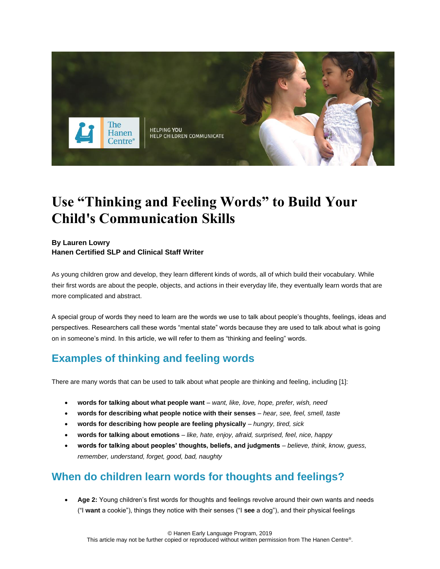

# **Use "Thinking and Feeling Words" to Build Your Child's Communication Skills**

### **By Lauren Lowry**

**Hanen Certified SLP and Clinical Staff Writer**

As young children grow and develop, they learn different kinds of words, all of which build their vocabulary. While their first words are about the people, objects, and actions in their everyday life, they eventually learn words that are more complicated and abstract.

A special group of words they need to learn are the words we use to talk about people's thoughts, feelings, ideas and perspectives. Researchers call these words "mental state" words because they are used to talk about what is going on in someone's mind. In this article, we will refer to them as "thinking and feeling" words.

# **Examples of thinking and feeling words**

There are many words that can be used to talk about what people are thinking and feeling, including [1]:

- **words for talking about what people want** *want, like, love, hope, prefer, wish, need*
- **words for describing what people notice with their senses** *hear, see, feel, smell, taste*
- **words for describing how people are feeling physically** *hungry, tired, sick*
- **words for talking about emotions** *like, hate, enjoy, afraid, surprised, feel, nice, happy*
- **words for talking about peoples' thoughts, beliefs, and judgments** *believe, think, know, guess, remember, understand, forget, good, bad, naughty*

## **When do children learn words for thoughts and feelings?**

• **Age 2:** Young children's first words for thoughts and feelings revolve around their own wants and needs ("I **want** a cookie"), things they notice with their senses ("I **see** a dog"), and their physical feelings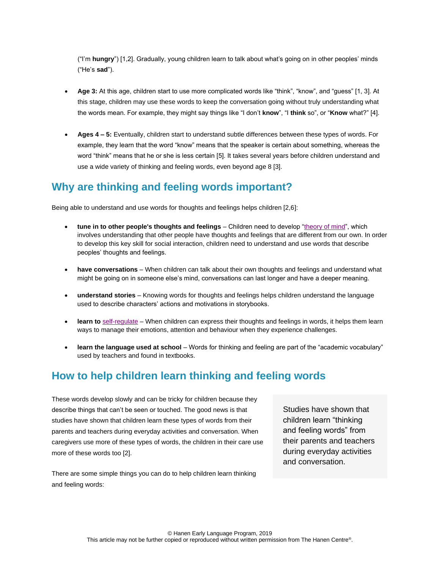("I'm **hungry**") [1,2]. Gradually, young children learn to talk about what's going on in other peoples' minds ("He's **sad**").

- **Age 3:** At this age, children start to use more complicated words like "think", "know", and "guess" [1, 3]. At this stage, children may use these words to keep the conversation going without truly understanding what the words mean. For example, they might say things like "I don't **know**", "I **think** so", or "**Know** what?" [4].
- **Ages 4 – 5:** Eventually, children start to understand subtle differences between these types of words. For example, they learn that the word "know" means that the speaker is certain about something, whereas the word "think" means that he or she is less certain [5]. It takes several years before children understand and use a wide variety of thinking and feeling words, even beyond age 8 [3].

### **Why are thinking and feeling words important?**

Being able to understand and use words for thoughts and feelings helps children [2,6]:

- **tune in to other people's thoughts and feelings** Children need to develop ["theory of mind"](http://www.hanen.org/Helpful-Info/Articles/Tuning-In-to-Others-How-Young-Children-Develop.aspx), which involves understanding that other people have thoughts and feelings that are different from our own. In order to develop this key skill for social interaction, children need to understand and use words that describe peoples' thoughts and feelings.
- **have conversations** When children can talk about their own thoughts and feelings and understand what might be going on in someone else's mind, conversations can last longer and have a deeper meaning.
- **understand stories**  Knowing words for thoughts and feelings helps children understand the language used to describe characters' actions and motivations in storybooks.
- **learn to** [self-regulate](http://www.hanen.org/Helpful-Info/Articles/Why-Self-regulation-Is-Important-for-Young-Childre.aspx) When children can express their thoughts and feelings in words, it helps them learn ways to manage their emotions, attention and behaviour when they experience challenges.
- **learn the language used at school**  Words for thinking and feeling are part of the "academic vocabulary" used by teachers and found in textbooks.

# **How to help children learn thinking and feeling words**

These words develop slowly and can be tricky for children because they describe things that can't be seen or touched. The good news is that studies have shown that children learn these types of words from their parents and teachers during everyday activities and conversation. When caregivers use more of these types of words, the children in their care use more of these words too [2].

There are some simple things you can do to help children learn thinking and feeling words:

Studies have shown that children learn "thinking and feeling words" from their parents and teachers during everyday activities and conversation.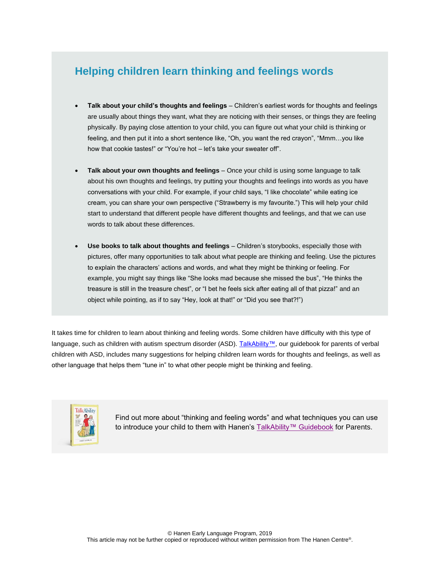# **Helping children learn thinking and feelings words**

- **Talk about your child's thoughts and feelings** Children's earliest words for thoughts and feelings are usually about things they want, what they are noticing with their senses, or things they are feeling physically. By paying close attention to your child, you can figure out what your child is thinking or feeling, and then put it into a short sentence like, "Oh, you want the red crayon", "Mmm…you like how that cookie tastes!" or "You're hot – let's take your sweater off".
- **Talk about your own thoughts and feelings** Once your child is using some language to talk about his own thoughts and feelings, try putting your thoughts and feelings into words as you have conversations with your child. For example, if your child says, "I like chocolate" while eating ice cream, you can share your own perspective ("Strawberry is my favourite.") This will help your child start to understand that different people have different thoughts and feelings, and that we can use words to talk about these differences.
- **Use books to talk about thoughts and feelings** Children's storybooks, especially those with pictures, offer many opportunities to talk about what people are thinking and feeling. Use the pictures to explain the characters' actions and words, and what they might be thinking or feeling. For example, you might say things like "She looks mad because she missed the bus", "He thinks the treasure is still in the treasure chest", or "I bet he feels sick after eating all of that pizza!" and an object while pointing, as if to say "Hey, look at that!" or "Did you see that?!")

It takes time for children to learn about thinking and feeling words. Some children have difficulty with this type of language, such as children with autism spectrum disorder (ASD). [TalkAbility™,](http://www.hanen.org/Guidebooks---DVDs/Parents/TalkAbility.aspx) our guidebook for parents of verbal children with ASD, includes many suggestions for helping children learn words for thoughts and feelings, as well as other language that helps them "tune in" to what other people might be thinking and feeling.



Find out more about "thinking and feeling words" and what techniques you can use to introduce your child to them with Hanen's [TalkAbility™ Guidebook](http://www.hanen.org/Guidebooks---DVDs/Parents/TalkAbility.aspx) for Parents.